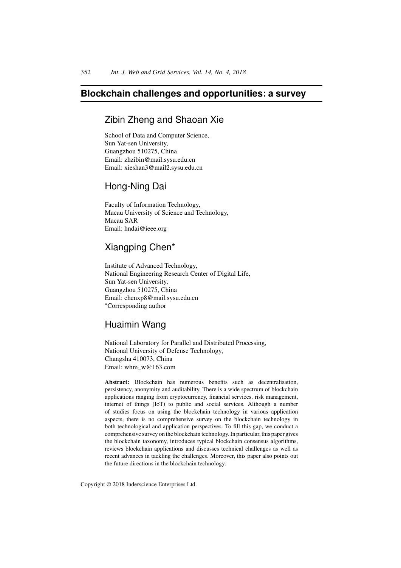# **Blockchain challenges and opportunities: a survey**

# Zibin Zheng and Shaoan Xie

School of Data and Computer Science, Sun Yat-sen University, Guangzhou 510275, China Email: zhzibin@mail.sysu.edu.cn Email: xieshan3@mail2.sysu.edu.cn

# Hong-Ning Dai

Faculty of Information Technology, Macau University of Science and Technology, Macau SAR Email: hndai@ieee.org

# Xiangping Chen\*

Institute of Advanced Technology, National Engineering Research Center of Digital Life, Sun Yat-sen University, Guangzhou 510275, China Email: chenxp8@mail.sysu.edu.cn \*Corresponding author

# Huaimin Wang

National Laboratory for Parallel and Distributed Processing, National University of Defense Technology, Changsha 410073, China Email: whm\_w@163.com

Abstract: Blockchain has numerous benefits such as decentralisation, persistency, anonymity and auditability. There is a wide spectrum of blockchain applications ranging from cryptocurrency, financial services, risk management, internet of things (IoT) to public and social services. Although a number of studies focus on using the blockchain technology in various application aspects, there is no comprehensive survey on the blockchain technology in both technological and application perspectives. To fill this gap, we conduct a comprehensive survey on the blockchain technology. In particular, this paper gives the blockchain taxonomy, introduces typical blockchain consensus algorithms, reviews blockchain applications and discusses technical challenges as well as recent advances in tackling the challenges. Moreover, this paper also points out the future directions in the blockchain technology.

Copyright © 2018 Inderscience Enterprises Ltd.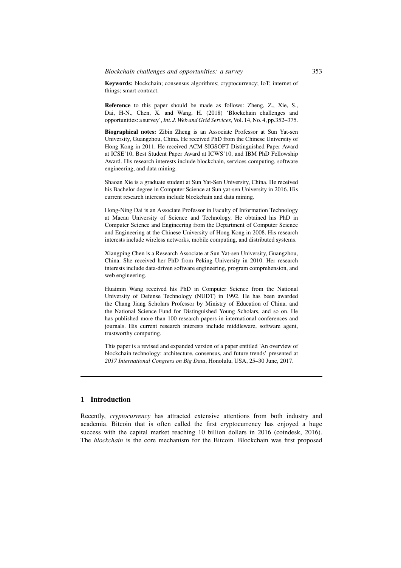Keywords: blockchain; consensus algorithms; cryptocurrency; IoT; internet of things; smart contract.

Reference to this paper should be made as follows: Zheng, Z., Xie, S., Dai, H-N., Chen, X. and Wang, H. (2018) 'Blockchain challenges and opportunities: a survey',*Int. J. Web and Grid Services*, Vol. 14, No. 4, pp.352–375.

Biographical notes: Zibin Zheng is an Associate Professor at Sun Yat-sen University, Guangzhou, China. He received PhD from the Chinese University of Hong Kong in 2011. He received ACM SIGSOFT Distinguished Paper Award at ICSE'10, Best Student Paper Award at ICWS'10, and IBM PhD Fellowship Award. His research interests include blockchain, services computing, software engineering, and data mining.

Shaoan Xie is a graduate student at Sun Yat-Sen University, China. He received his Bachelor degree in Computer Science at Sun yat-sen University in 2016. His current research interests include blockchain and data mining.

Hong-Ning Dai is an Associate Professor in Faculty of Information Technology at Macau University of Science and Technology. He obtained his PhD in Computer Science and Engineering from the Department of Computer Science and Engineering at the Chinese University of Hong Kong in 2008. His research interests include wireless networks, mobile computing, and distributed systems.

Xiangping Chen is a Research Associate at Sun Yat-sen University, Guangzhou, China. She received her PhD from Peking University in 2010. Her research interests include data-driven software engineering, program comprehension, and web engineering.

Huaimin Wang received his PhD in Computer Science from the National University of Defense Technology (NUDT) in 1992. He has been awarded the Chang Jiang Scholars Professor by Ministry of Education of China, and the National Science Fund for Distinguished Young Scholars, and so on. He has published more than 100 research papers in international conferences and journals. His current research interests include middleware, software agent, trustworthy computing.

This paper is a revised and expanded version of a paper entitled 'An overview of blockchain technology: architecture, consensus, and future trends' presented at *2017 International Congress on Big Data*, Honolulu, USA, 25–30 June, 2017.

## 1 Introduction

Recently, *cryptocurrency* has attracted extensive attentions from both industry and academia. Bitcoin that is often called the first cryptocurrency has enjoyed a huge success with the capital market reaching 10 billion dollars in 2016 (coindesk, 2016). The *blockchain* is the core mechanism for the Bitcoin. Blockchain was first proposed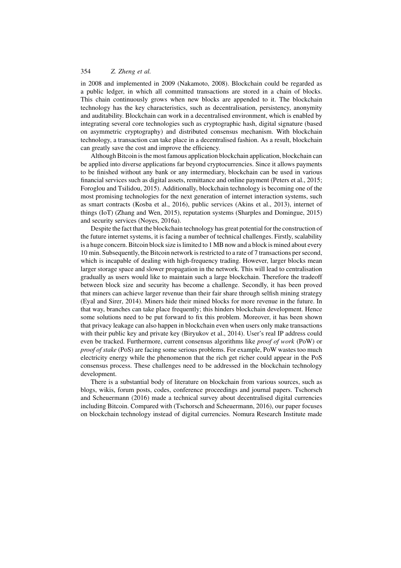in 2008 and implemented in 2009 (Nakamoto, 2008). Blockchain could be regarded as a public ledger, in which all committed transactions are stored in a chain of blocks. This chain continuously grows when new blocks are appended to it. The blockchain technology has the key characteristics, such as decentralisation, persistency, anonymity and auditability. Blockchain can work in a decentralised environment, which is enabled by integrating several core technologies such as cryptographic hash, digital signature (based on asymmetric cryptography) and distributed consensus mechanism. With blockchain technology, a transaction can take place in a decentralised fashion. As a result, blockchain can greatly save the cost and improve the efficiency.

Although Bitcoin is the most famous application blockchain application, blockchain can be applied into diverse applications far beyond cryptocurrencies. Since it allows payments to be finished without any bank or any intermediary, blockchain can be used in various financial services such as digital assets, remittance and online payment (Peters et al., 2015; Foroglou and Tsilidou, 2015). Additionally, blockchain technology is becoming one of the most promising technologies for the next generation of internet interaction systems, such as smart contracts (Kosba et al., 2016), public services (Akins et al., 2013), internet of things (IoT) (Zhang and Wen, 2015), reputation systems (Sharples and Domingue, 2015) and security services (Noyes, 2016a).

Despite the fact that the blockchain technology has great potential for the construction of the future internet systems, it is facing a number of technical challenges. Firstly, scalability is a huge concern. Bitcoin block size is limited to 1 MB now and a block is mined about every 10 min. Subsequently, the Bitcoin network is restricted to a rate of 7 transactions per second, which is incapable of dealing with high-frequency trading. However, larger blocks mean larger storage space and slower propagation in the network. This will lead to centralisation gradually as users would like to maintain such a large blockchain. Therefore the tradeoff between block size and security has become a challenge. Secondly, it has been proved that miners can achieve larger revenue than their fair share through selfish mining strategy (Eyal and Sirer, 2014). Miners hide their mined blocks for more revenue in the future. In that way, branches can take place frequently; this hinders blockchain development. Hence some solutions need to be put forward to fix this problem. Moreover, it has been shown that privacy leakage can also happen in blockchain even when users only make transactions with their public key and private key (Biryukov et al., 2014). User's real IP address could even be tracked. Furthermore, current consensus algorithms like *proof of work* (PoW) or *proof of stake* (PoS) are facing some serious problems. For example, PoW wastes too much electricity energy while the phenomenon that the rich get richer could appear in the PoS consensus process. These challenges need to be addressed in the blockchain technology development.

There is a substantial body of literature on blockchain from various sources, such as blogs, wikis, forum posts, codes, conference proceedings and journal papers. Tschorsch and Scheuermann (2016) made a technical survey about decentralised digital currencies including Bitcoin. Compared with (Tschorsch and Scheuermann, 2016), our paper focuses on blockchain technology instead of digital currencies. Nomura Research Institute made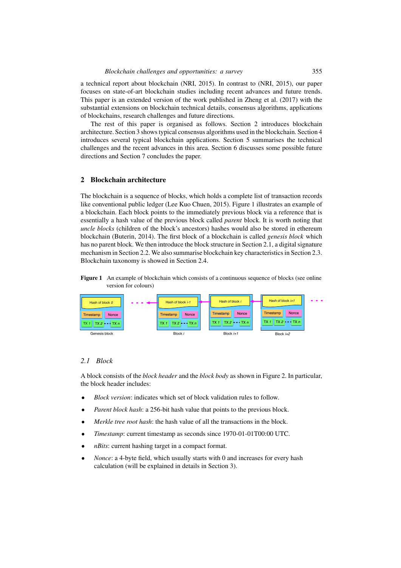a technical report about blockchain (NRI, 2015). In contrast to (NRI, 2015), our paper focuses on state-of-art blockchain studies including recent advances and future trends. This paper is an extended version of the work published in Zheng et al. (2017) with the substantial extensions on blockchain technical details, consensus algorithms, applications of blockchains, research challenges and future directions.

The rest of this paper is organised as follows. Section 2 introduces blockchain architecture. Section 3 shows typical consensus algorithms used in the blockchain. Section 4 introduces several typical blockchain applications. Section 5 summarises the technical challenges and the recent advances in this area. Section 6 discusses some possible future directions and Section 7 concludes the paper.

#### 2 Blockchain architecture

The blockchain is a sequence of blocks, which holds a complete list of transaction records like conventional public ledger (Lee Kuo Chuen, 2015). Figure 1 illustrates an example of a blockchain. Each block points to the immediately previous block via a reference that is essentially a hash value of the previous block called *parent* block. It is worth noting that *uncle blocks* (children of the block's ancestors) hashes would also be stored in ethereum blockchain (Buterin, 2014). The first block of a blockchain is called *genesis block* which has no parent block. We then introduce the block structure in Section 2.1, a digital signature mechanism in Section 2.2. We also summarise blockchain key characteristics in Section 2.3. Blockchain taxonomy is showed in Section 2.4.

Figure 1 An example of blockchain which consists of a continuous sequence of blocks (see online version for colours)



# *2.1 Block*

A block consists of the *block header* and the *block body* as shown in Figure 2. In particular, the block header includes:

- *• Block version*: indicates which set of block validation rules to follow.
- *• Parent block hash*: a 256-bit hash value that points to the previous block.
- *• Merkle tree root hash*: the hash value of all the transactions in the block.
- *• Timestamp*: current timestamp as seconds since 1970-01-01T00:00 UTC.
- *• nBits*: current hashing target in a compact format.
- *Nonce*: a 4-byte field, which usually starts with 0 and increases for every hash calculation (will be explained in details in Section 3).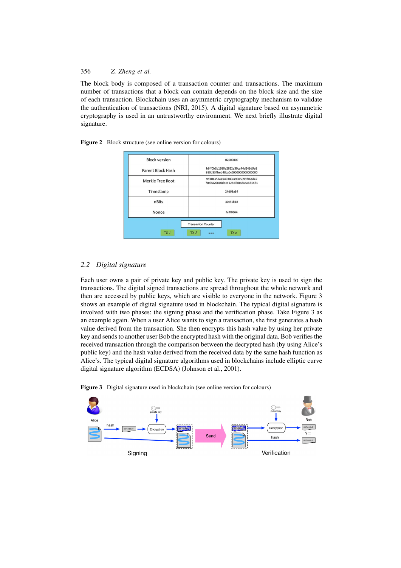The block body is composed of a transaction counter and transactions. The maximum number of transactions that a block can contain depends on the block size and the size of each transaction. Blockchain uses an asymmetric cryptography mechanism to validate the authentication of transactions (NRI, 2015). A digital signature based on asymmetric cryptography is used in an untrustworthy environment. We next briefly illustrate digital signature.

#### Figure 2 Block structure (see online version for colours)

| <b>Block version</b>       | 02000000                                                             |  |  |  |  |
|----------------------------|----------------------------------------------------------------------|--|--|--|--|
| Parent Block Hash          | b6ff0b1b1680a2862a30ca44d346d9e8<br>910d334beb48ca0c0000000000000000 |  |  |  |  |
| Merkle Tree Root           | 9d10aa52ee949386ca9385695f04ede2<br>70dda20810decd12bc9b048aaab31471 |  |  |  |  |
| Timestamp                  | 24d95a54                                                             |  |  |  |  |
| <b>nBits</b>               | 30c31b18                                                             |  |  |  |  |
| Nonce                      | fe9f0864                                                             |  |  |  |  |
| <b>Transaction Counter</b> |                                                                      |  |  |  |  |
| TX <sub>1</sub>            | TX <sub>2</sub><br>TX <sub>n</sub><br>                               |  |  |  |  |

# *2.2 Digital signature*

Each user owns a pair of private key and public key. The private key is used to sign the transactions. The digital signed transactions are spread throughout the whole network and then are accessed by public keys, which are visible to everyone in the network. Figure 3 shows an example of digital signature used in blockchain. The typical digital signature is involved with two phases: the signing phase and the verification phase. Take Figure 3 as an example again. When a user Alice wants to sign a transaction, she first generates a hash value derived from the transaction. She then encrypts this hash value by using her private key and sends to another user Bob the encrypted hash with the original data. Bob verifies the received transaction through the comparison between the decrypted hash (by using Alice's public key) and the hash value derived from the received data by the same hash function as Alice's. The typical digital signature algorithms used in blockchains include elliptic curve digital signature algorithm (ECDSA) (Johnson et al., 2001).



Figure 3 Digital signature used in blockchain (see online version for colours)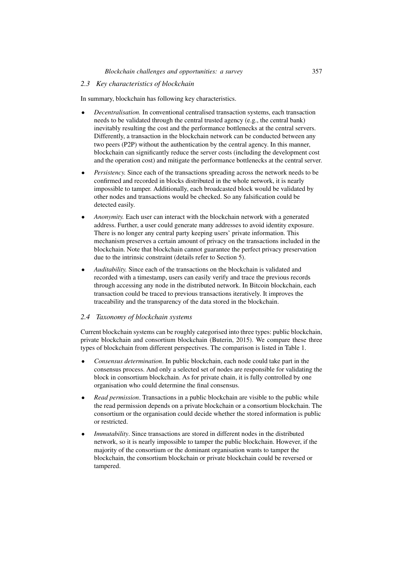# *2.3 Key characteristics of blockchain*

In summary, blockchain has following key characteristics.

- *• Decentralisation.* In conventional centralised transaction systems, each transaction needs to be validated through the central trusted agency (e.g., the central bank) inevitably resulting the cost and the performance bottlenecks at the central servers. Differently, a transaction in the blockchain network can be conducted between any two peers (P2P) without the authentication by the central agency. In this manner, blockchain can significantly reduce the server costs (including the development cost and the operation cost) and mitigate the performance bottlenecks at the central server.
- *• Persistency.* Since each of the transactions spreading across the network needs to be confirmed and recorded in blocks distributed in the whole network, it is nearly impossible to tamper. Additionally, each broadcasted block would be validated by other nodes and transactions would be checked. So any falsification could be detected easily.
- *• Anonymity.* Each user can interact with the blockchain network with a generated address. Further, a user could generate many addresses to avoid identity exposure. There is no longer any central party keeping users' private information. This mechanism preserves a certain amount of privacy on the transactions included in the blockchain. Note that blockchain cannot guarantee the perfect privacy preservation due to the intrinsic constraint (details refer to Section 5).
- *• Auditability.* Since each of the transactions on the blockchain is validated and recorded with a timestamp, users can easily verify and trace the previous records through accessing any node in the distributed network. In Bitcoin blockchain, each transaction could be traced to previous transactions iteratively. It improves the traceability and the transparency of the data stored in the blockchain.

# *2.4 Taxonomy of blockchain systems*

Current blockchain systems can be roughly categorised into three types: public blockchain, private blockchain and consortium blockchain (Buterin, 2015). We compare these three types of blockchain from different perspectives. The comparison is listed in Table 1.

- *• Consensus determination*. In public blockchain, each node could take part in the consensus process. And only a selected set of nodes are responsible for validating the block in consortium blockchain. As for private chain, it is fully controlled by one organisation who could determine the final consensus.
- *• Read permission*. Transactions in a public blockchain are visible to the public while the read permission depends on a private blockchain or a consortium blockchain. The consortium or the organisation could decide whether the stored information is public or restricted.
- *Immutability*. Since transactions are stored in different nodes in the distributed network, so it is nearly impossible to tamper the public blockchain. However, if the majority of the consortium or the dominant organisation wants to tamper the blockchain, the consortium blockchain or private blockchain could be reversed or tampered.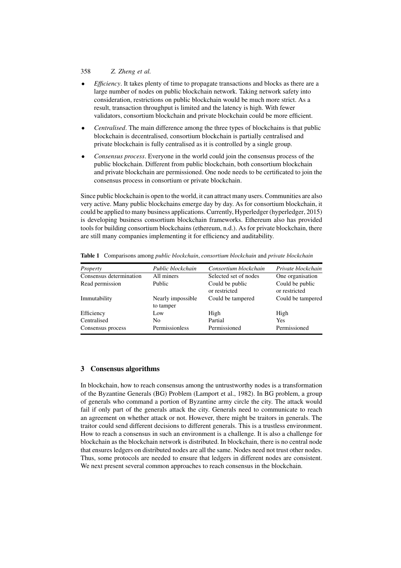- *<i>• Efficiency*. It takes plenty of time to propagate transactions and blocks as there are a large number of nodes on public blockchain network. Taking network safety into consideration, restrictions on public blockchain would be much more strict. As a result, transaction throughput is limited and the latency is high. With fewer validators, consortium blockchain and private blockchain could be more efficient.
- *• Centralised*. The main difference among the three types of blockchains is that public blockchain is decentralised, consortium blockchain is partially centralised and private blockchain is fully centralised as it is controlled by a single group.
- *• Consensus process*. Everyone in the world could join the consensus process of the public blockchain. Different from public blockchain, both consortium blockchain and private blockchain are permissioned. One node needs to be certificated to join the consensus process in consortium or private blockchain.

Since public blockchain is open to the world, it can attract many users. Communities are also very active. Many public blockchains emerge day by day. As for consortium blockchain, it could be applied to many business applications. Currently, Hyperledger (hyperledger, 2015) is developing business consortium blockchain frameworks. Ethereum also has provided tools for building consortium blockchains (ethereum, n.d.). As for private blockchain, there are still many companies implementing it for efficiency and auditability.

| Property                | Public blockchain              | Consortium blockchain            | Private blockchain               |
|-------------------------|--------------------------------|----------------------------------|----------------------------------|
| Consensus determination | All miners                     | Selected set of nodes            | One organisation                 |
| Read permission         | Public                         | Could be public<br>or restricted | Could be public<br>or restricted |
| Immutability            | Nearly impossible<br>to tamper | Could be tampered                | Could be tampered                |
| Efficiency              | Low                            | High                             | High                             |
| Centralised             | No.                            | Partial                          | Yes                              |
| Consensus process       | Permissionless                 | Permissioned                     | Permissioned                     |

Table 1 Comparisons among *public blockchain*, *consortium blockchain* and *private blockchain*

#### 3 Consensus algorithms

In blockchain, how to reach consensus among the untrustworthy nodes is a transformation of the Byzantine Generals (BG) Problem (Lamport et al., 1982). In BG problem, a group of generals who command a portion of Byzantine army circle the city. The attack would fail if only part of the generals attack the city. Generals need to communicate to reach an agreement on whether attack or not. However, there might be traitors in generals. The traitor could send different decisions to different generals. This is a trustless environment. How to reach a consensus in such an environment is a challenge. It is also a challenge for blockchain as the blockchain network is distributed. In blockchain, there is no central node that ensures ledgers on distributed nodes are all the same. Nodes need not trust other nodes. Thus, some protocols are needed to ensure that ledgers in different nodes are consistent. We next present several common approaches to reach consensus in the blockchain.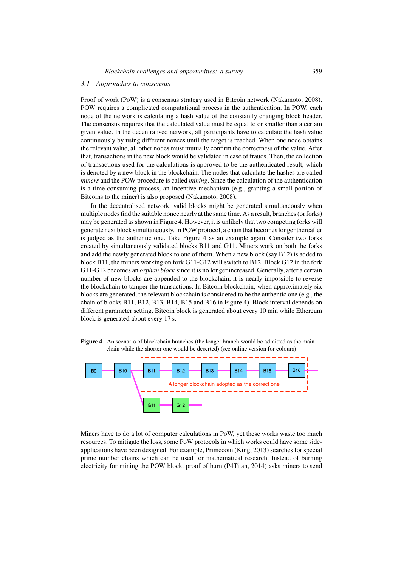# *3.1 Approaches to consensus*

Proof of work (PoW) is a consensus strategy used in Bitcoin network (Nakamoto, 2008). POW requires a complicated computational process in the authentication. In POW, each node of the network is calculating a hash value of the constantly changing block header. The consensus requires that the calculated value must be equal to or smaller than a certain given value. In the decentralised network, all participants have to calculate the hash value continuously by using different nonces until the target is reached. When one node obtains the relevant value, all other nodes must mutually confirm the correctness of the value. After that, transactions in the new block would be validated in case of frauds. Then, the collection of transactions used for the calculations is approved to be the authenticated result, which is denoted by a new block in the blockchain. The nodes that calculate the hashes are called *miners* and the POW procedure is called *mining*. Since the calculation of the authentication is a time-consuming process, an incentive mechanism (e.g., granting a small portion of Bitcoins to the miner) is also proposed (Nakamoto, 2008).

In the decentralised network, valid blocks might be generated simultaneously when multiple nodes find the suitable nonce nearly at the same time. As a result, branches (or forks) may be generated as shown in Figure 4. However, it is unlikely that two competing forks will generate next block simultaneously. In POW protocol, a chain that becomes longer thereafter is judged as the authentic one. Take Figure 4 as an example again. Consider two forks created by simultaneously validated blocks B11 and G11. Miners work on both the forks and add the newly generated block to one of them. When a new block (say B12) is added to block B11, the miners working on fork G11-G12 will switch to B12. Block G12 in the fork G11-G12 becomes an *orphan block* since it is no longer increased. Generally, after a certain number of new blocks are appended to the blockchain, it is nearly impossible to reverse the blockchain to tamper the transactions. In Bitcoin blockchain, when approximately six blocks are generated, the relevant blockchain is considered to be the authentic one (e.g., the chain of blocks B11, B12, B13, B14, B15 and B16 in Figure 4). Block interval depends on different parameter setting. Bitcoin block is generated about every 10 min while Ethereum block is generated about every 17 s.

Figure 4 An scenario of blockchain branches (the longer branch would be admitted as the main chain while the shorter one would be deserted) (see online version for colours)



Miners have to do a lot of computer calculations in PoW, yet these works waste too much resources. To mitigate the loss, some PoW protocols in which works could have some sideapplications have been designed. For example, Primecoin (King, 2013) searches for special prime number chains which can be used for mathematical research. Instead of burning electricity for mining the POW block, proof of burn (P4Titan, 2014) asks miners to send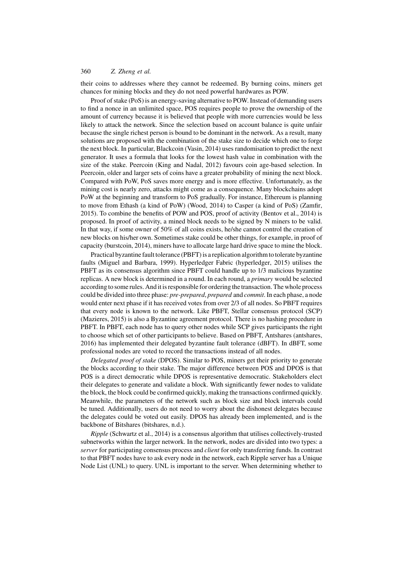their coins to addresses where they cannot be redeemed. By burning coins, miners get chances for mining blocks and they do not need powerful hardwares as POW.

Proof of stake (PoS) is an energy-saving alternative to POW. Instead of demanding users to find a nonce in an unlimited space, POS requires people to prove the ownership of the amount of currency because it is believed that people with more currencies would be less likely to attack the network. Since the selection based on account balance is quite unfair because the single richest person is bound to be dominant in the network. As a result, many solutions are proposed with the combination of the stake size to decide which one to forge the next block. In particular, Blackcoin (Vasin, 2014) uses randomisation to predict the next generator. It uses a formula that looks for the lowest hash value in combination with the size of the stake. Peercoin (King and Nadal, 2012) favours coin age-based selection. In Peercoin, older and larger sets of coins have a greater probability of mining the next block. Compared with PoW, PoS saves more energy and is more effective. Unfortunately, as the mining cost is nearly zero, attacks might come as a consequence. Many blockchains adopt PoW at the beginning and transform to PoS gradually. For instance, Ethereum is planning to move from Ethash (a kind of PoW) (Wood, 2014) to Casper (a kind of PoS) (Zamfir, 2015). To combine the benefits of POW and POS, proof of activity (Bentov et al., 2014) is proposed. In proof of activity, a mined block needs to be signed by N miners to be valid. In that way, if some owner of 50% of all coins exists, he/she cannot control the creation of new blocks on his/her own. Sometimes stake could be other things, for example, in proof of capacity (burstcoin, 2014), miners have to allocate large hard drive space to mine the block.

Practical byzantine fault tolerance (PBFT) is a replication algorithm to tolerate byzantine faults (Miguel and Barbara, 1999). Hyperledger Fabric (hyperledger, 2015) utilises the PBFT as its consensus algorithm since PBFT could handle up to 1/3 malicious byzantine replicas. A new block is determined in a round. In each round, a *primary* would be selected according to some rules. And it is responsible for ordering the transaction. The whole process could be divided into three phase: *pre-prepared*, *prepared* and *commit*. In each phase, a node would enter next phase if it has received votes from over 2/3 of all nodes. So PBFT requires that every node is known to the network. Like PBFT, Stellar consensus protocol (SCP) (Mazieres, 2015) is also a Byzantine agreement protocol. There is no hashing procedure in PBFT. In PBFT, each node has to query other nodes while SCP gives participants the right to choose which set of other participants to believe. Based on PBFT, Antshares (antshares, 2016) has implemented their delegated byzantine fault tolerance (dBFT). In dBFT, some professional nodes are voted to record the transactions instead of all nodes.

*Delegated proof of stake* (DPOS). Similar to POS, miners get their priority to generate the blocks according to their stake. The major difference between POS and DPOS is that POS is a direct democratic while DPOS is representative democratic. Stakeholders elect their delegates to generate and validate a block. With significantly fewer nodes to validate the block, the block could be confirmed quickly, making the transactions confirmed quickly. Meanwhile, the parameters of the network such as block size and block intervals could be tuned. Additionally, users do not need to worry about the dishonest delegates because the delegates could be voted out easily. DPOS has already been implemented, and is the backbone of Bitshares (bitshares, n.d.).

*Ripple* (Schwartz et al., 2014) is a consensus algorithm that utilises collectively-trusted subnetworks within the larger network. In the network, nodes are divided into two types: a *server* for participating consensus process and *client* for only transferring funds. In contrast to that PBFT nodes have to ask every node in the network, each Ripple server has a Unique Node List (UNL) to query. UNL is important to the server. When determining whether to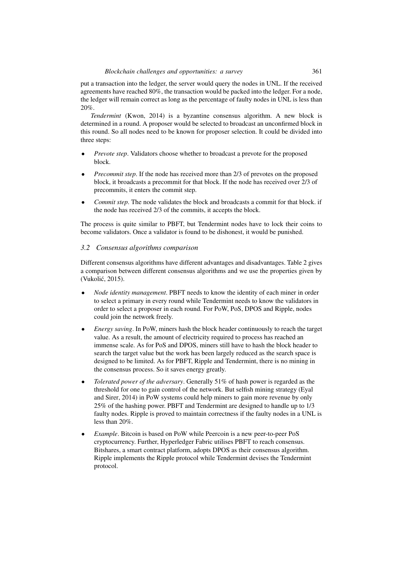put a transaction into the ledger, the server would query the nodes in UNL. If the received agreements have reached 80%, the transaction would be packed into the ledger. For a node, the ledger will remain correct as long as the percentage of faulty nodes in UNL is less than 20%.

*Tendermint* (Kwon, 2014) is a byzantine consensus algorithm. A new block is determined in a round. A proposer would be selected to broadcast an unconfirmed block in this round. So all nodes need to be known for proposer selection. It could be divided into three steps:

- *• Prevote step*. Validators choose whether to broadcast a prevote for the proposed block.
- *Precommit step.* If the node has received more than 2/3 of prevotes on the proposed block, it broadcasts a precommit for that block. If the node has received over 2/3 of precommits, it enters the commit step.
- *• Commit step*. The node validates the block and broadcasts a commit for that block. if the node has received 2/3 of the commits, it accepts the block.

The process is quite similar to PBFT, but Tendermint nodes have to lock their coins to become validators. Once a validator is found to be dishonest, it would be punished.

# *3.2 Consensus algorithms comparison*

Different consensus algorithms have different advantages and disadvantages. Table 2 gives a comparison between different consensus algorithms and we use the properties given by (Vukolić, 2015).

- *• Node identity management*. PBFT needs to know the identity of each miner in order to select a primary in every round while Tendermint needs to know the validators in order to select a proposer in each round. For PoW, PoS, DPOS and Ripple, nodes could join the network freely.
- *• Energy saving*. In PoW, miners hash the block header continuously to reach the target value. As a result, the amount of electricity required to process has reached an immense scale. As for PoS and DPOS, miners still have to hash the block header to search the target value but the work has been largely reduced as the search space is designed to be limited. As for PBFT, Ripple and Tendermint, there is no mining in the consensus process. So it saves energy greatly.
- *• Tolerated power of the adversary*. Generally 51% of hash power is regarded as the threshold for one to gain control of the network. But selfish mining strategy (Eyal and Sirer, 2014) in PoW systems could help miners to gain more revenue by only 25% of the hashing power. PBFT and Tendermint are designed to handle up to 1/3 faulty nodes. Ripple is proved to maintain correctness if the faulty nodes in a UNL is less than 20%.
- *• Example*. Bitcoin is based on PoW while Peercoin is a new peer-to-peer PoS cryptocurrency. Further, Hyperledger Fabric utilises PBFT to reach consensus. Bitshares, a smart contract platform, adopts DPOS as their consensus algorithm. Ripple implements the Ripple protocol while Tendermint devises the Tendermint protocol.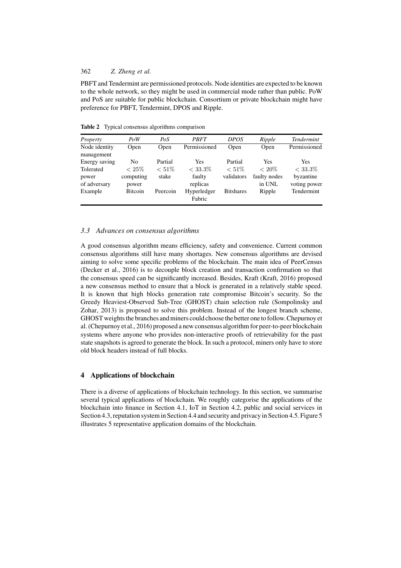PBFT and Tendermint are permissioned protocols. Node identities are expected to be known to the whole network, so they might be used in commercial mode rather than public. PoW and PoS are suitable for public blockchain. Consortium or private blockchain might have preference for PBFT, Tendermint, DPOS and Ripple.

| Property                    | PoW            | PoS      | PBFT                  | <b>DPOS</b>      | Ripple       | <b>Tendermint</b> |
|-----------------------------|----------------|----------|-----------------------|------------------|--------------|-------------------|
| Node identity<br>management | Open           | Open     | Permissioned          | Open             | Open         | Permissioned      |
| Energy saving               | N <sub>0</sub> | Partial  | <b>Yes</b>            | Partial          | Yes          | Yes               |
| Tolerated                   | $< 25\%$       | $< 51\%$ | $< 33.3\%$            | $< 51\%$         | $< 20\%$     | $< 33.3\%$        |
| power                       | computing      | stake    | faulty                | validators       | faulty nodes | byzantine         |
| of adversary                | power          |          | replicas              |                  | in UNL       | voting power      |
| Example                     | <b>Bitcoin</b> | Peercoin | Hyperledger<br>Fabric | <b>Bitshares</b> | Ripple       | Tendermint        |

Table 2 Typical consensus algorithms comparison

#### *3.3 Advances on consensus algorithms*

A good consensus algorithm means efficiency, safety and convenience. Current common consensus algorithms still have many shortages. New consensus algorithms are devised aiming to solve some specific problems of the blockchain. The main idea of PeerCensus (Decker et al., 2016) is to decouple block creation and transaction confirmation so that the consensus speed can be significantly increased. Besides, Kraft (Kraft, 2016) proposed a new consensus method to ensure that a block is generated in a relatively stable speed. It is known that high blocks generation rate compromise Bitcoin's security. So the Greedy Heaviest-Observed Sub-Tree (GHOST) chain selection rule (Sompolinsky and Zohar, 2013) is proposed to solve this problem. Instead of the longest branch scheme, GHOST weights the branches and miners could choose the better one to follow. Chepurnoy et al. (Chepurnoy et al., 2016) proposed a new consensus algorithm for peer-to-peer blockchain systems where anyone who provides non-interactive proofs of retrievability for the past state snapshots is agreed to generate the block. In such a protocol, miners only have to store old block headers instead of full blocks.

# 4 Applications of blockchain

There is a diverse of applications of blockchain technology. In this section, we summarise several typical applications of blockchain. We roughly categorise the applications of the blockchain into finance in Section 4.1, IoT in Section 4.2, public and social services in Section 4.3, reputation system in Section 4.4 and security and privacy in Section 4.5. Figure 5 illustrates 5 representative application domains of the blockchain.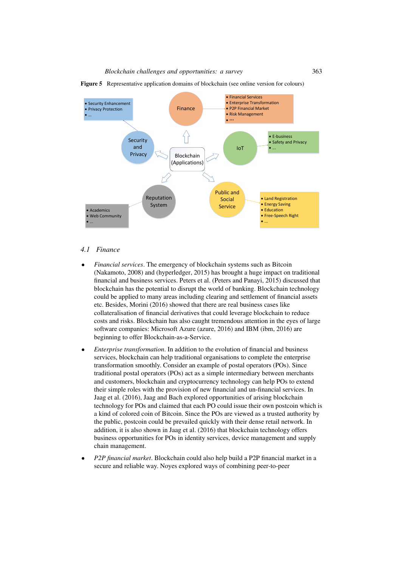

Figure 5 Representative application domains of blockchain (see online version for colours)

# *4.1 Finance*

- *• Financial services*. The emergency of blockchain systems such as Bitcoin (Nakamoto, 2008) and (hyperledger, 2015) has brought a huge impact on traditional financial and business services. Peters et al. (Peters and Panayi, 2015) discussed that blockchain has the potential to disrupt the world of banking. Blockchain technology could be applied to many areas including clearing and settlement of financial assets etc. Besides, Morini (2016) showed that there are real business cases like collateralisation of financial derivatives that could leverage blockchain to reduce costs and risks. Blockchain has also caught tremendous attention in the eyes of large software companies: Microsoft Azure (azure, 2016) and IBM (ibm, 2016) are beginning to offer Blockchain-as-a-Service.
- *• Enterprise transformation*. In addition to the evolution of financial and business services, blockchain can help traditional organisations to complete the enterprise transformation smoothly. Consider an example of postal operators (POs). Since traditional postal operators (POs) act as a simple intermediary between merchants and customers, blockchain and cryptocurrency technology can help POs to extend their simple roles with the provision of new financial and un-financial services. In Jaag et al. (2016), Jaag and Bach explored opportunities of arising blockchain technology for POs and claimed that each PO could issue their own postcoin which is a kind of colored coin of Bitcoin. Since the POs are viewed as a trusted authority by the public, postcoin could be prevailed quickly with their dense retail network. In addition, it is also shown in Jaag et al. (2016) that blockchain technology offers business opportunities for POs in identity services, device management and supply chain management.
- *• P2P financial market*. Blockchain could also help build a P2P financial market in a secure and reliable way. Noyes explored ways of combining peer-to-peer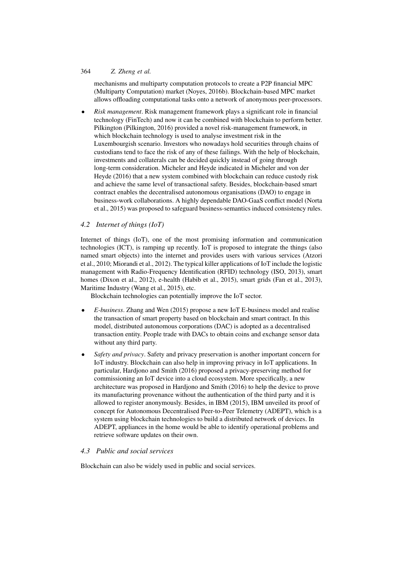mechanisms and multiparty computation protocols to create a P2P financial MPC (Multiparty Computation) market (Noyes, 2016b). Blockchain-based MPC market allows offloading computational tasks onto a network of anonymous peer-processors.

*• Risk management*. Risk management framework plays a significant role in financial technology (FinTech) and now it can be combined with blockchain to perform better. Pilkington (Pilkington, 2016) provided a novel risk-management framework, in which blockchain technology is used to analyse investment risk in the Luxembourgish scenario. Investors who nowadays hold securities through chains of custodians tend to face the risk of any of these failings. With the help of blockchain, investments and collaterals can be decided quickly instead of going through long-term consideration. Micheler and Heyde indicated in Micheler and von der Heyde (2016) that a new system combined with blockchain can reduce custody risk and achieve the same level of transactional safety. Besides, blockchain-based smart contract enables the decentralised autonomous organisations (DAO) to engage in business-work collaborations. A highly dependable DAO-GaaS conflict model (Norta et al., 2015) was proposed to safeguard business-semantics induced consistency rules.

# *4.2 Internet of things (IoT)*

Internet of things (IoT), one of the most promising information and communication technologies (ICT), is ramping up recently. IoT is proposed to integrate the things (also named smart objects) into the internet and provides users with various services (Atzori et al., 2010; Miorandi et al., 2012). The typical killer applications of IoT include the logistic management with Radio-Frequency Identification (RFID) technology (ISO, 2013), smart homes (Dixon et al., 2012), e-health (Habib et al., 2015), smart grids (Fan et al., 2013), Maritime Industry (Wang et al., 2015), etc.

Blockchain technologies can potentially improve the IoT sector.

- *• E-business*. Zhang and Wen (2015) propose a new IoT E-business model and realise the transaction of smart property based on blockchain and smart contract. In this model, distributed autonomous corporations (DAC) is adopted as a decentralised transaction entity. People trade with DACs to obtain coins and exchange sensor data without any third party.
- *• Safety and privacy*. Safety and privacy preservation is another important concern for IoT industry. Blockchain can also help in improving privacy in IoT applications. In particular, Hardjono and Smith (2016) proposed a privacy-preserving method for commissioning an IoT device into a cloud ecosystem. More specifically, a new architecture was proposed in Hardjono and Smith (2016) to help the device to prove its manufacturing provenance without the authentication of the third party and it is allowed to register anonymously. Besides, in IBM (2015), IBM unveiled its proof of concept for Autonomous Decentralised Peer-to-Peer Telemetry (ADEPT), which is a system using blockchain technologies to build a distributed network of devices. In ADEPT, appliances in the home would be able to identify operational problems and retrieve software updates on their own.

## *4.3 Public and social services*

Blockchain can also be widely used in public and social services.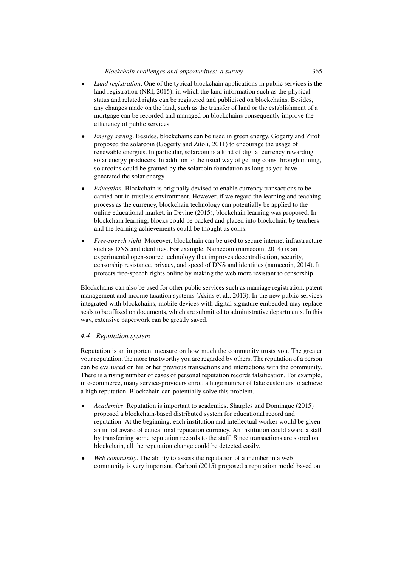- *• Land registration*. One of the typical blockchain applications in public services is the land registration (NRI, 2015), in which the land information such as the physical status and related rights can be registered and publicised on blockchains. Besides, any changes made on the land, such as the transfer of land or the establishment of a mortgage can be recorded and managed on blockchains consequently improve the efficiency of public services.
- *• Energy saving*. Besides, blockchains can be used in green energy. Gogerty and Zitoli proposed the solarcoin (Gogerty and Zitoli, 2011) to encourage the usage of renewable energies. In particular, solarcoin is a kind of digital currency rewarding solar energy producers. In addition to the usual way of getting coins through mining, solarcoins could be granted by the solarcoin foundation as long as you have generated the solar energy.
- *• Education*. Blockchain is originally devised to enable currency transactions to be carried out in trustless environment. However, if we regard the learning and teaching process as the currency, blockchain technology can potentially be applied to the online educational market. in Devine (2015), blockchain learning was proposed. In blockchain learning, blocks could be packed and placed into blockchain by teachers and the learning achievements could be thought as coins.
- *• Free-speech right*. Moreover, blockchain can be used to secure internet infrastructure such as DNS and identities. For example, Namecoin (namecoin, 2014) is an experimental open-source technology that improves decentralisation, security, censorship resistance, privacy, and speed of DNS and identities (namecoin, 2014). It protects free-speech rights online by making the web more resistant to censorship.

Blockchains can also be used for other public services such as marriage registration, patent management and income taxation systems (Akins et al., 2013). In the new public services integrated with blockchains, mobile devices with digital signature embedded may replace seals to be affixed on documents, which are submitted to administrative departments. In this way, extensive paperwork can be greatly saved.

# *4.4 Reputation system*

Reputation is an important measure on how much the community trusts you. The greater your reputation, the more trustworthy you are regarded by others. The reputation of a person can be evaluated on his or her previous transactions and interactions with the community. There is a rising number of cases of personal reputation records falsification. For example, in e-commerce, many service-providers enroll a huge number of fake customers to achieve a high reputation. Blockchain can potentially solve this problem.

- *• Academics*. Reputation is important to academics. Sharples and Domingue (2015) proposed a blockchain-based distributed system for educational record and reputation. At the beginning, each institution and intellectual worker would be given an initial award of educational reputation currency. An institution could award a staff by transferring some reputation records to the staff. Since transactions are stored on blockchain, all the reputation change could be detected easily.
- *• Web community*. The ability to assess the reputation of a member in a web community is very important. Carboni (2015) proposed a reputation model based on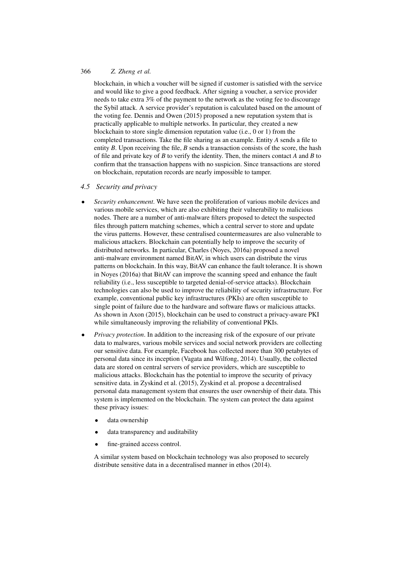blockchain, in which a voucher will be signed if customer is satisfied with the service and would like to give a good feedback. After signing a voucher, a service provider needs to take extra 3% of the payment to the network as the voting fee to discourage the Sybil attack. A service provider's reputation is calculated based on the amount of the voting fee. Dennis and Owen (2015) proposed a new reputation system that is practically applicable to multiple networks. In particular, they created a new blockchain to store single dimension reputation value (i.e., 0 or 1) from the completed transactions. Take the file sharing as an example. Entity *A* sends a file to entity *B*. Upon receiving the file, *B* sends a transaction consists of the score, the hash of file and private key of *B* to verify the identity. Then, the miners contact *A* and *B* to confirm that the transaction happens with no suspicion. Since transactions are stored on blockchain, reputation records are nearly impossible to tamper.

#### *4.5 Security and privacy*

- *Security enhancement*. We have seen the proliferation of various mobile devices and various mobile services, which are also exhibiting their vulnerability to malicious nodes. There are a number of anti-malware filters proposed to detect the suspected files through pattern matching schemes, which a central server to store and update the virus patterns. However, these centralised countermeasures are also vulnerable to malicious attackers. Blockchain can potentially help to improve the security of distributed networks. In particular, Charles (Noyes, 2016a) proposed a novel anti-malware environment named BitAV, in which users can distribute the virus patterns on blockchain. In this way, BitAV can enhance the fault tolerance. It is shown in Noyes (2016a) that BitAV can improve the scanning speed and enhance the fault reliability (i.e., less susceptible to targeted denial-of-service attacks). Blockchain technologies can also be used to improve the reliability of security infrastructure. For example, conventional public key infrastructures (PKIs) are often susceptible to single point of failure due to the hardware and software flaws or malicious attacks. As shown in Axon (2015), blockchain can be used to construct a privacy-aware PKI while simultaneously improving the reliability of conventional PKIs.
- *• Privacy protection*. In addition to the increasing risk of the exposure of our private data to malwares, various mobile services and social network providers are collecting our sensitive data. For example, Facebook has collected more than 300 petabytes of personal data since its inception (Vagata and Wilfong, 2014). Usually, the collected data are stored on central servers of service providers, which are susceptible to malicious attacks. Blockchain has the potential to improve the security of privacy sensitive data. in Zyskind et al. (2015), Zyskind et al. propose a decentralised personal data management system that ensures the user ownership of their data. This system is implemented on the blockchain. The system can protect the data against these privacy issues:
	- *•* data ownership
	- *•* data transparency and auditability
	- fine-grained access control.

A similar system based on blockchain technology was also proposed to securely distribute sensitive data in a decentralised manner in ethos (2014).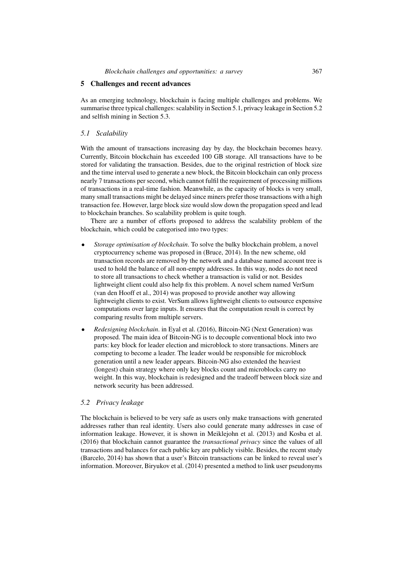#### 5 Challenges and recent advances

As an emerging technology, blockchain is facing multiple challenges and problems. We summarise three typical challenges: scalability in Section 5.1, privacy leakage in Section 5.2 and selfish mining in Section 5.3.

# *5.1 Scalability*

With the amount of transactions increasing day by day, the blockchain becomes heavy. Currently, Bitcoin blockchain has exceeded 100 GB storage. All transactions have to be stored for validating the transaction. Besides, due to the original restriction of block size and the time interval used to generate a new block, the Bitcoin blockchain can only process nearly 7 transactions per second, which cannot fulfil the requirement of processing millions of transactions in a real-time fashion. Meanwhile, as the capacity of blocks is very small, many small transactions might be delayed since miners prefer those transactions with a high transaction fee. However, large block size would slow down the propagation speed and lead to blockchain branches. So scalability problem is quite tough.

There are a number of efforts proposed to address the scalability problem of the blockchain, which could be categorised into two types:

- *• Storage optimisation of blockchain*. To solve the bulky blockchain problem, a novel cryptocurrency scheme was proposed in (Bruce, 2014). In the new scheme, old transaction records are removed by the network and a database named account tree is used to hold the balance of all non-empty addresses. In this way, nodes do not need to store all transactions to check whether a transaction is valid or not. Besides lightweight client could also help fix this problem. A novel schem named VerSum (van den Hooff et al., 2014) was proposed to provide another way allowing lightweight clients to exist. VerSum allows lightweight clients to outsource expensive computations over large inputs. It ensures that the computation result is correct by comparing results from multiple servers.
- *• Redesigning blockchain*. in Eyal et al. (2016), Bitcoin-NG (Next Generation) was proposed. The main idea of Bitcoin-NG is to decouple conventional block into two parts: key block for leader election and microblock to store transactions. Miners are competing to become a leader. The leader would be responsible for microblock generation until a new leader appears. Bitcoin-NG also extended the heaviest (longest) chain strategy where only key blocks count and microblocks carry no weight. In this way, blockchain is redesigned and the tradeoff between block size and network security has been addressed.

# *5.2 Privacy leakage*

The blockchain is believed to be very safe as users only make transactions with generated addresses rather than real identity. Users also could generate many addresses in case of information leakage. However, it is shown in Meiklejohn et al. (2013) and Kosba et al. (2016) that blockchain cannot guarantee the *transactional privacy* since the values of all transactions and balances for each public key are publicly visible. Besides, the recent study (Barcelo, 2014) has shown that a user's Bitcoin transactions can be linked to reveal user's information. Moreover, Biryukov et al. (2014) presented a method to link user pseudonyms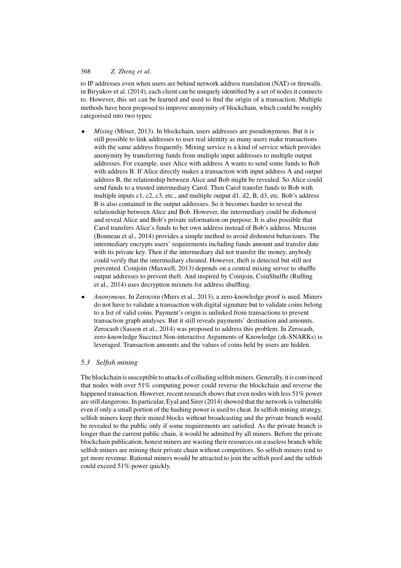to IP addresses even when users are behind network address translation (NAT) or firewalls. in Biryukov et al. (2014), each client can be uniquely identified by a set of nodes it connects to. However, this set can be learned and used to find the origin of a transaction. Multiple methods have been proposed to improve anonymity of blockchain, which could be roughly categorised into two types:

- *Mixing* (Möser, 2013). In blockchain, users addresses are pseudonymous. But it is still possible to link addresses to user real identity as many users make transactions with the same address frequently. Mixing service is a kind of service which provides anonymity by transferring funds from multiple input addresses to multiple output addresses. For example, user Alice with address A wants to send some funds to Bob with address B. If Alice directly makes a transaction with input address A and output address B, the relationship between Alice and Bob might be revealed. So Alice could send funds to a trusted intermediary Carol. Then Carol transfer funds to Bob with multiple inputs c1, c2, c3, etc., and multiple output d1, d2, B, d3, etc. Bob's address B is also contained in the output addresses. So it becomes harder to reveal the relationship between Alice and Bob. However, the intermediary could be dishonest and reveal Alice and Bob's private information on purpose. It is also possible that Carol transfers Alice's funds to her own address instead of Bob's address. Mixcoin (Bonneau et al., 2014) provides a simple method to avoid dishonest behaviours. The intermediary encrypts users' requirements including funds amount and transfer date with its private key. Then if the intermediary did not transfer the money, anybody could verify that the intermediary cheated. However, theft is detected but still not prevented. Coinjoin (Maxwell, 2013) depends on a central mixing server to shuffle output addresses to prevent theft. And inspired by Coinjoin, CoinShuffle (Ruffing et al., 2014) uses decryption mixnets for address shuffling.
- *• Anonymous*. In Zerocoin (Miers et al., 2013), a zero-knowledge proof is used. Miners do not have to validate a transaction with digital signature but to validate coins belong to a list of valid coins. Payment's origin is unlinked from transactions to prevent transaction graph analyses. But it still reveals payments' destination and amounts. Zerocash (Sasson et al., 2014) was proposed to address this problem. In Zerocash, zero-knowledge Succinct Non-interactive Arguments of Knowledge (zk-SNARKs) is leveraged. Transaction amounts and the values of coins held by users are hidden.

#### *5.3 Selfish mining*

The blockchain is susceptible to attacks of colluding selfish miners. Generally, it is convinced that nodes with over 51% computing power could reverse the blockchain and reverse the happened transaction. However, recent research shows that even nodes with less 51% power are still dangerous. In particular, Eyal and Sirer (2014) showed that the network is vulnerable even if only a small portion of the hashing power is used to cheat. In selfish mining strategy, selfish miners keep their mined blocks without broadcasting and the private branch would be revealed to the public only if some requirements are satisfied. As the private branch is longer than the current public chain, it would be admitted by all miners. Before the private blockchain publication, honest miners are wasting their resources on a useless branch while selfish miners are mining their private chain without competitors. So selfish miners tend to get more revenue. Rational miners would be attracted to join the selfish pool and the selfish could exceed 51% power quickly.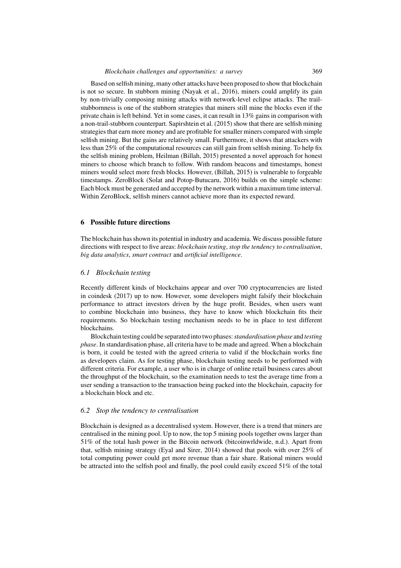Based on selfish mining, many other attacks have been proposed to show that blockchain is not so secure. In stubborn mining (Nayak et al., 2016), miners could amplify its gain by non-trivially composing mining attacks with network-level eclipse attacks. The trailstubbornness is one of the stubborn strategies that miners still mine the blocks even if the private chain is left behind. Yet in some cases, it can result in 13% gains in comparison with a non-trail-stubborn counterpart. Sapirshtein et al. (2015) show that there are selfish mining strategies that earn more money and are profitable for smaller miners compared with simple selfish mining. But the gains are relatively small. Furthermore, it shows that attackers with less than 25% of the computational resources can still gain from selfish mining. To help fix the selfish mining problem, Heilman (Billah, 2015) presented a novel approach for honest miners to choose which branch to follow. With random beacons and timestamps, honest miners would select more fresh blocks. However, (Billah, 2015) is vulnerable to forgeable timestamps. ZeroBlock (Solat and Potop-Butucaru, 2016) builds on the simple scheme: Each block must be generated and accepted by the network within a maximum time interval. Within ZeroBlock, selfish miners cannot achieve more than its expected reward.

## 6 Possible future directions

The blockchain has shown its potential in industry and academia. We discuss possible future directions with respect to five areas: *blockchain testing*, *stop the tendency to centralisation*, *big data analytics*, *smart contract* and *artificial intelligence*.

#### *6.1 Blockchain testing*

Recently different kinds of blockchains appear and over 700 cryptocurrencies are listed in coindesk (2017) up to now. However, some developers might falsify their blockchain performance to attract investors driven by the huge profit. Besides, when users want to combine blockchain into business, they have to know which blockchain fits their requirements. So blockchain testing mechanism needs to be in place to test different blockchains.

Blockchain testing could be separated into two phases:*standardisation phase* and *testing phase*. In standardisation phase, all criteria have to be made and agreed. When a blockchain is born, it could be tested with the agreed criteria to valid if the blockchain works fine as developers claim. As for testing phase, blockchain testing needs to be performed with different criteria. For example, a user who is in charge of online retail business cares about the throughput of the blockchain, so the examination needs to test the average time from a user sending a transaction to the transaction being packed into the blockchain, capacity for a blockchain block and etc.

## *6.2 Stop the tendency to centralisation*

Blockchain is designed as a decentralised system. However, there is a trend that miners are centralised in the mining pool. Up to now, the top 5 mining pools together owns larger than 51% of the total hash power in the Bitcoin network (bitcoinwrldwide, n.d.). Apart from that, selfish mining strategy (Eyal and Sirer, 2014) showed that pools with over 25% of total computing power could get more revenue than a fair share. Rational miners would be attracted into the selfish pool and finally, the pool could easily exceed 51% of the total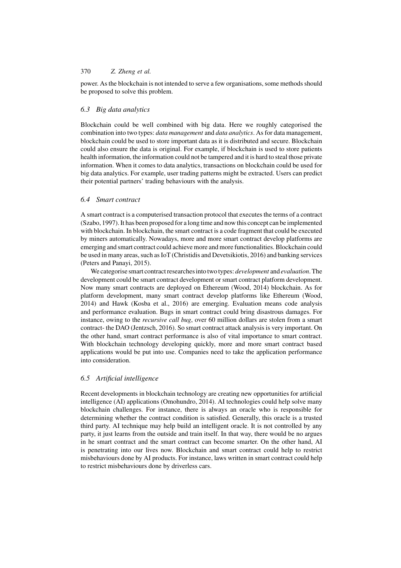power. As the blockchain is not intended to serve a few organisations, some methods should be proposed to solve this problem.

### *6.3 Big data analytics*

Blockchain could be well combined with big data. Here we roughly categorised the combination into two types: *data management* and *data analytics*. As for data management, blockchain could be used to store important data as it is distributed and secure. Blockchain could also ensure the data is original. For example, if blockchain is used to store patients health information, the information could not be tampered and it is hard to steal those private information. When it comes to data analytics, transactions on blockchain could be used for big data analytics. For example, user trading patterns might be extracted. Users can predict their potential partners' trading behaviours with the analysis.

#### *6.4 Smart contract*

A smart contract is a computerised transaction protocol that executes the terms of a contract (Szabo, 1997). It has been proposed for a long time and now this concept can be implemented with blockchain. In blockchain, the smart contract is a code fragment that could be executed by miners automatically. Nowadays, more and more smart contract develop platforms are emerging and smart contract could achieve more and more functionalities. Blockchain could be used in many areas, such as IoT (Christidis and Devetsikiotis, 2016) and banking services (Peters and Panayi, 2015).

We categorise smart contract researches into two types: *development* and *evaluation*. The development could be smart contract development or smart contract platform development. Now many smart contracts are deployed on Ethereum (Wood, 2014) blockchain. As for platform development, many smart contract develop platforms like Ethereum (Wood, 2014) and Hawk (Kosba et al., 2016) are emerging. Evaluation means code analysis and performance evaluation. Bugs in smart contract could bring disastrous damages. For instance, owing to the *recursive call bug*, over 60 million dollars are stolen from a smart contract- the DAO (Jentzsch, 2016). So smart contract attack analysis is very important. On the other hand, smart contract performance is also of vital importance to smart contract. With blockchain technology developing quickly, more and more smart contract based applications would be put into use. Companies need to take the application performance into consideration.

#### *6.5 Artificial intelligence*

Recent developments in blockchain technology are creating new opportunities for artificial intelligence (AI) applications (Omohundro, 2014). AI technologies could help solve many blockchain challenges. For instance, there is always an oracle who is responsible for determining whether the contract condition is satisfied. Generally, this oracle is a trusted third party. AI technique may help build an intelligent oracle. It is not controlled by any party, it just learns from the outside and train itself. In that way, there would be no argues in he smart contract and the smart contract can become smarter. On the other hand, AI is penetrating into our lives now. Blockchain and smart contract could help to restrict misbehaviours done by AI products. For instance, laws written in smart contract could help to restrict misbehaviours done by driverless cars.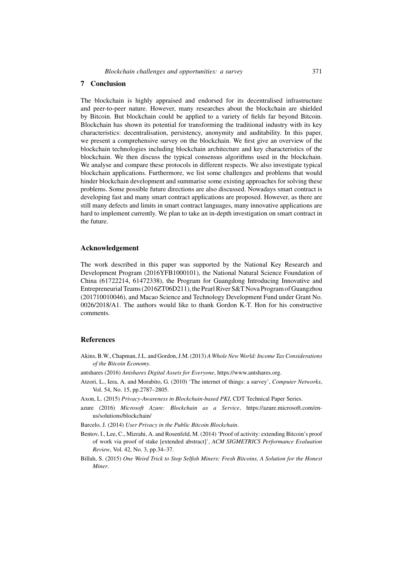## 7 Conclusion

The blockchain is highly appraised and endorsed for its decentralised infrastructure and peer-to-peer nature. However, many researches about the blockchain are shielded by Bitcoin. But blockchain could be applied to a variety of fields far beyond Bitcoin. Blockchain has shown its potential for transforming the traditional industry with its key characteristics: decentralisation, persistency, anonymity and auditability. In this paper, we present a comprehensive survey on the blockchain. We first give an overview of the blockchain technologies including blockchain architecture and key characteristics of the blockchain. We then discuss the typical consensus algorithms used in the blockchain. We analyse and compare these protocols in different respects. We also investigate typical blockchain applications. Furthermore, we list some challenges and problems that would hinder blockchain development and summarise some existing approaches for solving these problems. Some possible future directions are also discussed. Nowadays smart contract is developing fast and many smart contract applications are proposed. However, as there are still many defects and limits in smart contract languages, many innovative applications are hard to implement currently. We plan to take an in-depth investigation on smart contract in the future.

# Acknowledgement

The work described in this paper was supported by the National Key Research and Development Program (2016YFB1000101), the National Natural Science Foundation of China (61722214, 61472338), the Program for Guangdong Introducing Innovative and Entrepreneurial Teams (2016ZT06D211), the Pearl River S&T Nova Program of Guangzhou (201710010046), and Macao Science and Technology Development Fund under Grant No. 0026/2018/A1. The authors would like to thank Gordon K-T. Hon for his constructive comments.

#### References

- Akins, B.W., Chapman, J.L. and Gordon, J.M. (2013) *A Whole New World: Income Tax Considerations of the Bitcoin Economy*.
- antshares (2016) *Antshares Digital Assets for Everyone*, https://www.antshares.org.
- Atzori, L., Iera, A. and Morabito, G. (2010) 'The internet of things: a survey', *Computer Networks*, Vol. 54, No. 15, pp.2787–2805.
- Axon, L. (2015) *Privacy-Awareness in Blockchain-based PKI*, CDT Technical Paper Series.
- azure (2016) *Microsoft Azure: Blockchain as a Service*, https://azure.microsoft.com/enus/solutions/blockchain/
- Barcelo, J. (2014) *User Privacy in the Public Bitcoin Blockchain*.
- Bentov, I., Lee, C., Mizrahi, A. and Rosenfeld, M. (2014) 'Proof of activity: extending Bitcoin's proof of work via proof of stake [extended abstract]', *ACM SIGMETRICS Performance Evaluation Review*, Vol. 42, No. 3, pp.34–37.
- Billah, S. (2015) *One Weird Trick to Stop Selfish Miners: Fresh Bitcoins, A Solution for the Honest Miner*.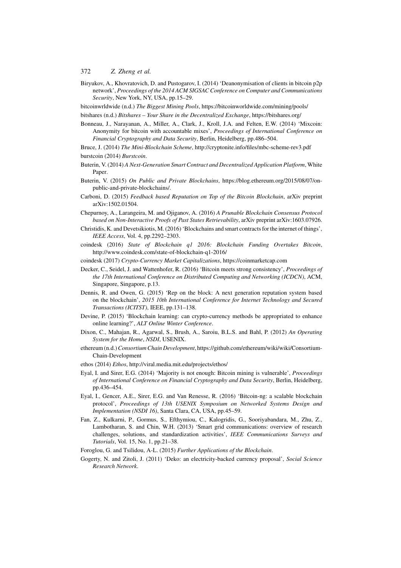Biryukov, A., Khovratovich, D. and Pustogarov, I. (2014) 'Deanonymisation of clients in bitcoin p2p network', *Proceedings of the 2014 ACM SIGSAC Conference on Computer and Communications Security*, New York, NY, USA, pp.15–29.

bitcoinwrldwide (n.d.) *The Biggest Mining Pools*, https://bitcoinworldwide.com/mining/pools/

bitshares (n.d.) *Bitshares – Your Share in the Decentralized Exchange*, https://bitshares.org/

- Bonneau, J., Narayanan, A., Miller, A., Clark, J., Kroll, J.A. and Felten, E.W. (2014) 'Mixcoin: Anonymity for bitcoin with accountable mixes', *Proceedings of International Conference on Financial Cryptography and Data Security*, Berlin, Heidelberg, pp.486–504.
- Bruce, J. (2014) *The Mini-Blockchain Scheme*, http://cryptonite.info/files/mbc-scheme-rev3.pdf burstcoin (2014) *Burstcoin*.
- Buterin, V. (2014) *A Next-Generation Smart Contract and Decentralized Application Platform*, White Paper.
- Buterin, V. (2015) *On Public and Private Blockchains*, https://blog.ethereum.org/2015/08/07/onpublic-and-private-blockchains/.
- Carboni, D. (2015) *Feedback based Reputation on Top of the Bitcoin Blockchain*, arXiv preprint arXiv:1502.01504.
- Chepurnoy, A., Larangeira, M. and Ojiganov, A. (2016) *A Prunable Blockchain Consensus Protocol based on Non-Interactive Proofs of Past States Retrievability*, arXiv preprint arXiv:1603.07926.
- Christidis, K. and Devetsikiotis, M. (2016) 'Blockchains and smart contracts for the internet of things', *IEEE Access*, Vol. 4, pp.2292–2303.
- coindesk (2016) *State of Blockchain q1 2016: Blockchain Funding Overtakes Bitcoin*, http://www.coindesk.com/state-of-blockchain-q1-2016/
- coindesk (2017) *Crypto-Currency Market Capitalizations*, https://coinmarketcap.com
- Decker, C., Seidel, J. and Wattenhofer, R. (2016) 'Bitcoin meets strong consistency', *Proceedings of the 17th International Conference on Distributed Computing and Networking (ICDCN)*, ACM, Singapore, Singapore, p.13.
- Dennis, R. and Owen, G. (2015) 'Rep on the block: A next generation reputation system based on the blockchain', *2015 10th International Conference for Internet Technology and Secured Transactions (ICITST)*, IEEE, pp.131–138.
- Devine, P. (2015) 'Blockchain learning: can crypto-currency methods be appropriated to enhance online learning?', *ALT Online Winter Conference*.
- Dixon, C., Mahajan, R., Agarwal, S., Brush, A., Saroiu, B.L.S. and Bahl, P. (2012) *An Operating System for the Home*, *NSDI*, USENIX.
- ethereum (n.d.)*Consortium Chain Development*, https://github.com/ethereum/wiki/wiki/Consortium-Chain-Development
- ethos (2014) *Ethos*, http://viral.media.mit.edu/projects/ethos/
- Eyal, I. and Sirer, E.G. (2014) 'Majority is not enough: Bitcoin mining is vulnerable', *Proceedings of International Conference on Financial Cryptography and Data Security*, Berlin, Heidelberg, pp.436–454.
- Eyal, I., Gencer, A.E., Sirer, E.G. and Van Renesse, R. (2016) 'Bitcoin-ng: a scalable blockchain protocol', *Proceedings of 13th USENIX Symposium on Networked Systems Design and Implementation (NSDI 16)*, Santa Clara, CA, USA, pp.45–59.
- Fan, Z., Kulkarni, P., Gormus, S., Efthymiou, C., Kalogridis, G., Sooriyabandara, M., Zhu, Z., Lambotharan, S. and Chin, W.H. (2013) 'Smart grid communications: overview of research challenges, solutions, and standardization activities', *IEEE Communications Surveys and Tutorials*, Vol. 15, No. 1, pp.21–38.
- Foroglou, G. and Tsilidou, A-L. (2015) *Further Applications of the Blockchain*.
- Gogerty, N. and Zitoli, J. (2011) 'Deko: an electricity-backed currency proposal', *Social Science Research Network*.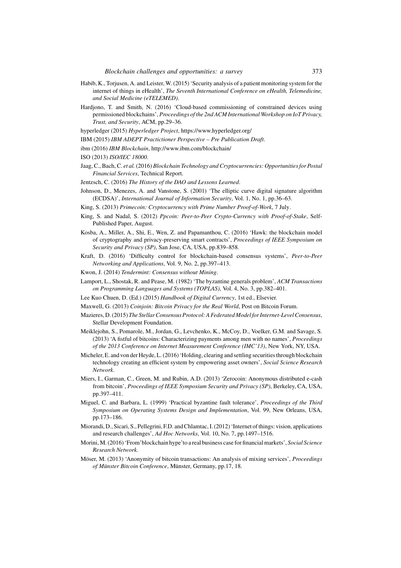- Habib, K., Torjusen, A. and Leister, W. (2015) 'Security analysis of a patient monitoring system for the internet of things in eHealth', *The Seventh International Conference on eHealth, Telemedicine, and Social Medicine (eTELEMED)*.
- Hardjono, T. and Smith, N. (2016) 'Cloud-based commissioning of constrained devices using permissioned blockchains', *Proceedings of the 2nd ACM International Workshop on IoT Privacy, Trust, and Security*, ACM, pp.29–36.

hyperledger (2015) *Hyperledger Project*, https://www.hyperledger.org/

- IBM (2015) *IBM ADEPT Practictioner Perspective Pre Publication Draft*.
- ibm (2016) *IBM Blockchain*, http://www.ibm.com/blockchain/
- ISO (2013) *ISO/IEC 18000*.
- Jaag, C., Bach, C. *et al.*(2016) *Blockchain Technology and Cryptocurrencies: Opportunities for Postal Financial Services*, Technical Report.
- Jentzsch, C. (2016) *The History of the DAO and Lessons Learned*.
- Johnson, D., Menezes, A. and Vanstone, S. (2001) 'The elliptic curve digital signature algorithm (ECDSA)', *International Journal of Information Security*, Vol. 1, No. 1, pp.36–63.
- King, S. (2013) *Primecoin: Cryptocurrency with Prime Number Proof-of-Work*, 7 July.
- King, S. and Nadal, S. (2012) *Ppcoin: Peer-to-Peer Crypto-Currency with Proof-of-Stake*, Self-Published Paper, August.
- Kosba, A., Miller, A., Shi, E., Wen, Z. and Papamanthou, C. (2016) 'Hawk: the blockchain model of cryptography and privacy-preserving smart contracts', *Proceedings of IEEE Symposium on Security and Privacy (SP)*, San Jose, CA, USA, pp.839–858.
- Kraft, D. (2016) 'Difficulty control for blockchain-based consensus systems', *Peer-to-Peer Networking and Applications*, Vol. 9, No. 2, pp.397–413.
- Kwon, J. (2014) *Tendermint: Consensus without Mining*.
- Lamport, L., Shostak, R. and Pease, M. (1982) 'The byzantine generals problem', *ACM Transactions on Programming Languages and Systems (TOPLAS)*, Vol. 4, No. 3, pp.382–401.
- Lee Kuo Chuen, D. (Ed.) (2015) *Handbook of Digital Currency*, 1st ed., Elsevier.
- Maxwell, G. (2013) *Coinjoin: Bitcoin Privacy for the Real World*, Post on Bitcoin Forum.
- Mazieres, D. (2015) *The Stellar Consensus Protocol: A Federated Model for Internet-Level Consensus*, Stellar Development Foundation.
- Meiklejohn, S., Pomarole, M., Jordan, G., Levchenko, K., McCoy, D., Voelker, G.M. and Savage, S. (2013) 'A fistful of bitcoins: Characterizing payments among men with no names', *Proceedings of the 2013 Conference on Internet Measurement Conference (IMC'13)*, New York, NY, USA.
- Micheler, E. and von der Heyde, L. (2016) 'Holding, clearing and settling securities through blockchain technology creating an efficient system by empowering asset owners', *Social Science Research Network*.
- Miers, I., Garman, C., Green, M. and Rubin, A.D. (2013) 'Zerocoin: Anonymous distributed e-cash from bitcoin', *Proceedings of IEEE Symposium Security and Privacy (SP)*, Berkeley, CA, USA, pp.397–411.
- Miguel, C. and Barbara, L. (1999) 'Practical byzantine fault tolerance', *Proceedings of the Third Symposium on Operating Systems Design and Implementation*, Vol. 99, New Orleans, USA, pp.173–186.
- Miorandi, D., Sicari, S., Pellegrini, F.D. and Chlamtac, I. (2012) 'Internet of things: vision, applications and research challenges', *Ad Hoc Networks*, Vol. 10, No. 7, pp.1497–1516.
- Morini, M. (2016) 'From'blockchain hype'to a real business case for financial markets', *Social Science Research Network*.
- Möser, M. (2013) 'Anonymity of bitcoin transactions: An analysis of mixing services', *Proceedings of Münster Bitcoin Conference*, Münster, Germany, pp.17, 18.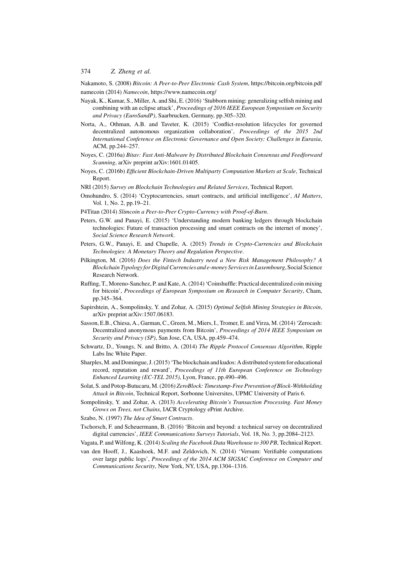Nakamoto, S. (2008) *Bitcoin: A Peer-to-Peer Electronic Cash System*, https://bitcoin.org/bitcoin.pdf namecoin (2014) *Namecoin*, https://www.namecoin.org/

- Nayak, K., Kumar, S., Miller, A. and Shi, E. (2016) 'Stubborn mining: generalizing selfish mining and combining with an eclipse attack', *Proceedings of 2016 IEEE European Symposium on Security and Privacy (EuroSandP)*, Saarbrucken, Germany, pp.305–320.
- Norta, A., Othman, A.B. and Taveter, K. (2015) 'Conflict-resolution lifecycles for governed decentralized autonomous organization collaboration', *Proceedings of the 2015 2nd International Conference on Electronic Governance and Open Society: Challenges in Eurasia*, ACM, pp.244–257.
- Noyes, C. (2016a) *Bitav: Fast Anti-Malware by Distributed Blockchain Consensus and Feedforward Scanning*, arXiv preprint arXiv:1601.01405.
- Noyes, C. (2016b) *Efficient Blockchain-Driven Multiparty Computation Markets at Scale*, Technical Report.
- NRI (2015) *Survey on Blockchain Technologies and Related Services*, Technical Report.
- Omohundro, S. (2014) 'Cryptocurrencies, smart contracts, and artificial intelligence', *AI Matters*, Vol. 1, No. 2, pp.19–21.
- P4Titan (2014) *Slimcoin a Peer-to-Peer Crypto-Currency with Proof-of-Burn*.
- Peters, G.W. and Panayi, E. (2015) 'Understanding modern banking ledgers through blockchain technologies: Future of transaction processing and smart contracts on the internet of money', *Social Science Research Network*.
- Peters, G.W., Panayi, E. and Chapelle, A. (2015) *Trends in Crypto-Currencies and Blockchain Technologies: A Monetary Theory and Regulation Perspective*.
- Pilkington, M. (2016) *Does the Fintech Industry need a New Risk Management Philosophy? A Blockchain Typology for Digital Currencies and e-money Services in Luxembourg*, Social Science Research Network.
- Ruffing, T., Moreno-Sanchez, P. and Kate, A. (2014) 'Coinshuffle: Practical decentralized coin mixing for bitcoin', *Proceedings of European Symposium on Research in Computer Security*, Cham, pp.345–364.
- Sapirshtein, A., Sompolinsky, Y. and Zohar, A. (2015) *Optimal Selfish Mining Strategies in Bitcoin*, arXiv preprint arXiv:1507.06183.
- Sasson, E.B., Chiesa, A., Garman, C., Green, M., Miers, I., Tromer, E. and Virza, M. (2014) 'Zerocash: Decentralized anonymous payments from Bitcoin', *Proceedings of 2014 IEEE Symposium on Security and Privacy (SP)*, San Jose, CA, USA, pp.459–474.
- Schwartz, D., Youngs, N. and Britto, A. (2014) *The Ripple Protocol Consensus Algorithm*, Ripple Labs Inc White Paper.
- Sharples,M. and Domingue, J. (2015) 'The blockchain and kudos: A distributed system for educational record, reputation and reward', *Proceedings of 11th European Conference on Technology Enhanced Learning (EC-TEL 2015)*, Lyon, France, pp.490–496.
- Solat, S. and Potop-Butucaru, M. (2016) *ZeroBlock: Timestamp-Free Prevention of Block-Withholding Attack in Bitcoin*, Technical Report, Sorbonne Universites, UPMC University of Paris 6.
- Sompolinsky, Y. and Zohar, A. (2013) *Accelerating Bitcoin's Transaction Processing. Fast Money Grows on Trees, not Chains*, IACR Cryptology ePrint Archive.
- Szabo, N. (1997) *The Idea of Smart Contracts*.
- Tschorsch, F. and Scheuermann, B. (2016) 'Bitcoin and beyond: a technical survey on decentralized digital currencies', *IEEE Communications Surveys Tutorials*, Vol. 18, No. 3, pp.2084–2123.

Vagata, P. and Wilfong, K. (2014) *Scaling the Facebook Data Warehouse to 300 PB*, Technical Report.

van den Hooff, J., Kaashoek, M.F. and Zeldovich, N. (2014) 'Versum: Verifiable computations over large public logs', *Proceedings of the 2014 ACM SIGSAC Conference on Computer and Communications Security*, New York, NY, USA, pp.1304–1316.